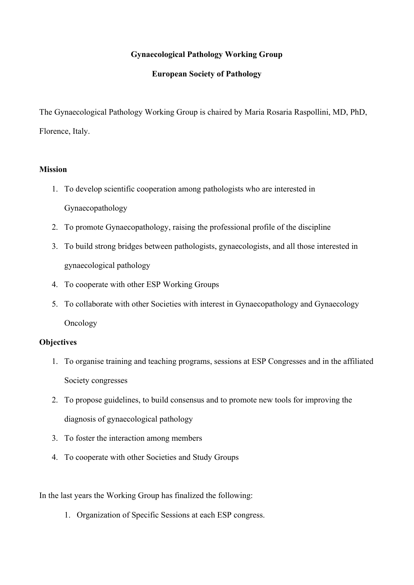## **Gynaecological Pathology Working Group**

## **European Society of Pathology**

The Gynaecological Pathology Working Group is chaired by Maria Rosaria Raspollini, MD, PhD, Florence, Italy.

## **Mission**

- 1. To develop scientific cooperation among pathologists who are interested in Gynaecopathology
- 2. To promote Gynaecopathology, raising the professional profile of the discipline
- 3. To build strong bridges between pathologists, gynaecologists, and all those interested in gynaecological pathology
- 4. To cooperate with other ESP Working Groups
- 5. To collaborate with other Societies with interest in Gynaecopathology and Gynaecology Oncology

## **Objectives**

- 1. To organise training and teaching programs, sessions at ESP Congresses and in the affiliated Society congresses
- 2. To propose guidelines, to build consensus and to promote new tools for improving the diagnosis of gynaecological pathology
- 3. To foster the interaction among members
- 4. To cooperate with other Societies and Study Groups

In the last years the Working Group has finalized the following:

1. Organization of Specific Sessions at each ESP congress.